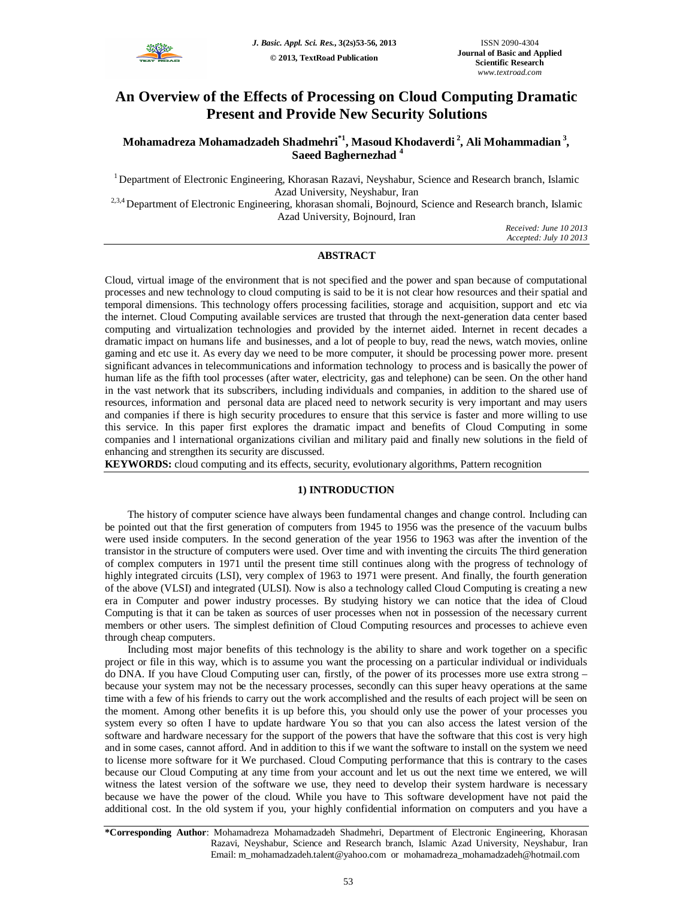

# **An Overview of the Effects of Processing on Cloud Computing Dramatic Present and Provide New Security Solutions**

## **Mohamadreza Mohamadzadeh Shadmehri\*1 , Masoud Khodaverdi <sup>2</sup> , Ali Mohammadian <sup>3</sup> , Saeed Baghernezhad <sup>4</sup>**

<sup>1</sup> Department of Electronic Engineering, Khorasan Razavi, Neyshabur, Science and Research branch, Islamic Azad University, Neyshabur, Iran

<sup>2,3,4</sup> Department of Electronic Engineering, khorasan shomali, Bojnourd, Science and Research branch, Islamic Azad University, Bojnourd, Iran

> *Received: June 10 2013 Accepted: July 10 2013*

#### **ABSTRACT**

Cloud, virtual image of the environment that is not specified and the power and span because of computational processes and new technology to cloud computing is said to be it is not clear how resources and their spatial and temporal dimensions. This technology offers processing facilities, storage and acquisition, support and etc via the internet. Cloud Computing available services are trusted that through the next-generation data center based computing and virtualization technologies and provided by the internet aided. Internet in recent decades a dramatic impact on humans life and businesses, and a lot of people to buy, read the news, watch movies, online gaming and etc use it. As every day we need to be more computer, it should be processing power more. present significant advances in telecommunications and information technology to process and is basically the power of human life as the fifth tool processes (after water, electricity, gas and telephone) can be seen. On the other hand in the vast network that its subscribers, including individuals and companies, in addition to the shared use of resources, information and personal data are placed need to network security is very important and may users and companies if there is high security procedures to ensure that this service is faster and more willing to use this service. In this paper first explores the dramatic impact and benefits of Cloud Computing in some companies and l international organizations civilian and military paid and finally new solutions in the field of enhancing and strengthen its security are discussed.

**KEYWORDS:** cloud computing and its effects, security, evolutionary algorithms, Pattern recognition

#### **1) INTRODUCTION**

The history of computer science have always been fundamental changes and change control. Including can be pointed out that the first generation of computers from 1945 to 1956 was the presence of the vacuum bulbs were used inside computers. In the second generation of the year 1956 to 1963 was after the invention of the transistor in the structure of computers were used. Over time and with inventing the circuits The third generation of complex computers in 1971 until the present time still continues along with the progress of technology of highly integrated circuits (LSI), very complex of 1963 to 1971 were present. And finally, the fourth generation of the above (VLSI) and integrated (ULSI). Now is also a technology called Cloud Computing is creating a new era in Computer and power industry processes. By studying history we can notice that the idea of Cloud Computing is that it can be taken as sources of user processes when not in possession of the necessary current members or other users. The simplest definition of Cloud Computing resources and processes to achieve even through cheap computers.

Including most major benefits of this technology is the ability to share and work together on a specific project or file in this way, which is to assume you want the processing on a particular individual or individuals do DNA. If you have Cloud Computing user can, firstly, of the power of its processes more use extra strong – because your system may not be the necessary processes, secondly can this super heavy operations at the same time with a few of his friends to carry out the work accomplished and the results of each project will be seen on the moment. Among other benefits it is up before this, you should only use the power of your processes you system every so often I have to update hardware You so that you can also access the latest version of the software and hardware necessary for the support of the powers that have the software that this cost is very high and in some cases, cannot afford. And in addition to this if we want the software to install on the system we need to license more software for it We purchased. Cloud Computing performance that this is contrary to the cases because our Cloud Computing at any time from your account and let us out the next time we entered, we will witness the latest version of the software we use, they need to develop their system hardware is necessary because we have the power of the cloud. While you have to This software development have not paid the additional cost. In the old system if you, your highly confidential information on computers and you have a

**\*Corresponding Author**: Mohamadreza Mohamadzadeh Shadmehri, Department of Electronic Engineering, Khorasan Razavi, Neyshabur, Science and Research branch, Islamic Azad University, Neyshabur, Iran Email: m\_mohamadzadeh.talent@yahoo.com or mohamadreza\_mohamadzadeh@hotmail.com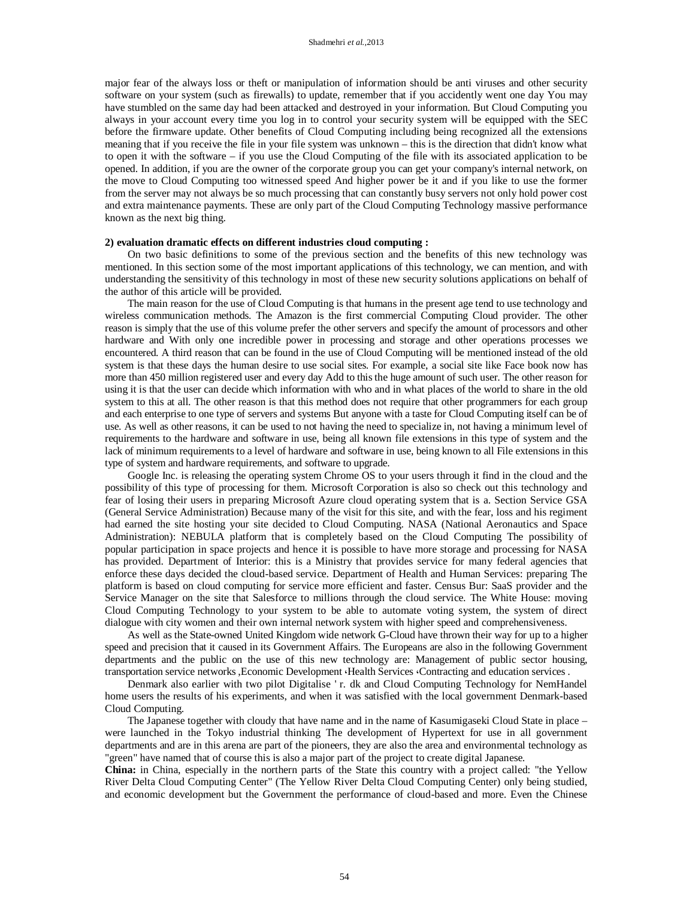major fear of the always loss or theft or manipulation of information should be anti viruses and other security software on your system (such as firewalls) to update, remember that if you accidently went one day You may have stumbled on the same day had been attacked and destroyed in your information. But Cloud Computing you always in your account every time you log in to control your security system will be equipped with the SEC before the firmware update. Other benefits of Cloud Computing including being recognized all the extensions meaning that if you receive the file in your file system was unknown – this is the direction that didn't know what to open it with the software – if you use the Cloud Computing of the file with its associated application to be opened. In addition, if you are the owner of the corporate group you can get your company's internal network, on the move to Cloud Computing too witnessed speed And higher power be it and if you like to use the former from the server may not always be so much processing that can constantly busy servers not only hold power cost and extra maintenance payments. These are only part of the Cloud Computing Technology massive performance known as the next big thing.

#### **2) evaluation dramatic effects on different industries cloud computing :**

On two basic definitions to some of the previous section and the benefits of this new technology was mentioned. In this section some of the most important applications of this technology, we can mention, and with understanding the sensitivity of this technology in most of these new security solutions applications on behalf of the author of this article will be provided.

The main reason for the use of Cloud Computing is that humans in the present age tend to use technology and wireless communication methods. The Amazon is the first commercial Computing Cloud provider. The other reason is simply that the use of this volume prefer the other servers and specify the amount of processors and other hardware and With only one incredible power in processing and storage and other operations processes we encountered. A third reason that can be found in the use of Cloud Computing will be mentioned instead of the old system is that these days the human desire to use social sites. For example, a social site like Face book now has more than 450 million registered user and every day Add to this the huge amount of such user. The other reason for using it is that the user can decide which information with who and in what places of the world to share in the old system to this at all. The other reason is that this method does not require that other programmers for each group and each enterprise to one type of servers and systems But anyone with a taste for Cloud Computing itself can be of use. As well as other reasons, it can be used to not having the need to specialize in, not having a minimum level of requirements to the hardware and software in use, being all known file extensions in this type of system and the lack of minimum requirements to a level of hardware and software in use, being known to all File extensions in this type of system and hardware requirements, and software to upgrade.

Google Inc. is releasing the operating system Chrome OS to your users through it find in the cloud and the possibility of this type of processing for them. Microsoft Corporation is also so check out this technology and fear of losing their users in preparing Microsoft Azure cloud operating system that is a. Section Service GSA (General Service Administration) Because many of the visit for this site, and with the fear, loss and his regiment had earned the site hosting your site decided to Cloud Computing. NASA (National Aeronautics and Space Administration): NEBULA platform that is completely based on the Cloud Computing The possibility of popular participation in space projects and hence it is possible to have more storage and processing for NASA has provided. Department of Interior: this is a Ministry that provides service for many federal agencies that enforce these days decided the cloud-based service. Department of Health and Human Services: preparing The platform is based on cloud computing for service more efficient and faster. Census Bur: SaaS provider and the Service Manager on the site that Salesforce to millions through the cloud service. The White House: moving Cloud Computing Technology to your system to be able to automate voting system, the system of direct dialogue with city women and their own internal network system with higher speed and comprehensiveness.

As well as the State-owned United Kingdom wide network G-Cloud have thrown their way for up to a higher speed and precision that it caused in its Government Affairs. The Europeans are also in the following Government departments and the public on the use of this new technology are: Management of public sector housing, transportation service networks ,Economic Development  $\cdot$  Health Services  $\cdot$  Contracting and education services .

Denmark also earlier with two pilot Digitalise ' r. dk and Cloud Computing Technology for NemHandel home users the results of his experiments, and when it was satisfied with the local government Denmark-based Cloud Computing.

The Japanese together with cloudy that have name and in the name of Kasumigaseki Cloud State in place – were launched in the Tokyo industrial thinking The development of Hypertext for use in all government departments and are in this arena are part of the pioneers, they are also the area and environmental technology as "green" have named that of course this is also a major part of the project to create digital Japanese.

**China:** in China, especially in the northern parts of the State this country with a project called: "the Yellow River Delta Cloud Computing Center" (The Yellow River Delta Cloud Computing Center) only being studied, and economic development but the Government the performance of cloud-based and more. Even the Chinese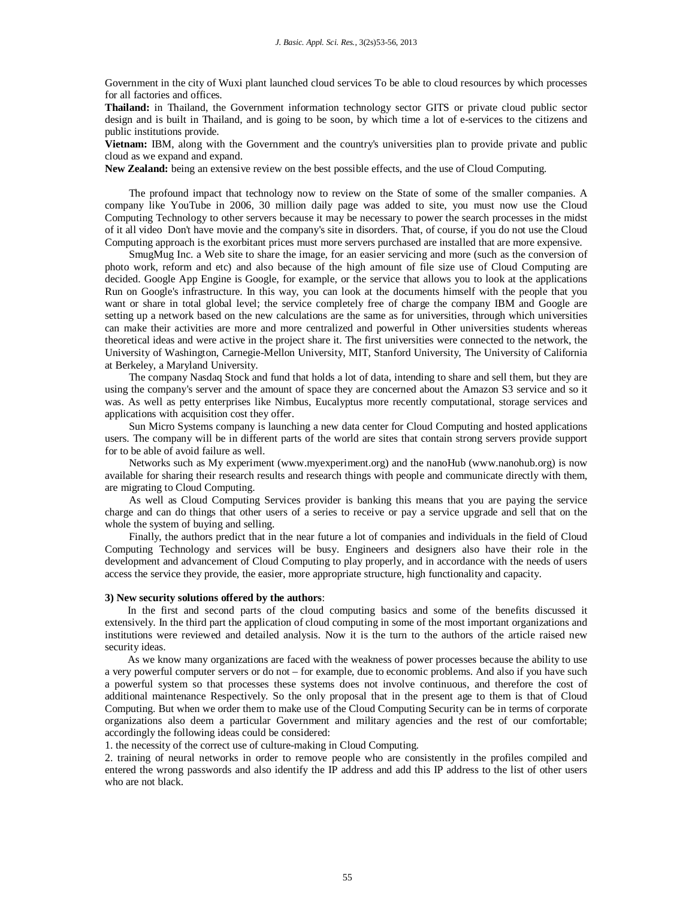Government in the city of Wuxi plant launched cloud services To be able to cloud resources by which processes for all factories and offices.

**Thailand:** in Thailand, the Government information technology sector GITS or private cloud public sector design and is built in Thailand, and is going to be soon, by which time a lot of e-services to the citizens and public institutions provide.

**Vietnam:** IBM, along with the Government and the country's universities plan to provide private and public cloud as we expand and expand.

**New Zealand:** being an extensive review on the best possible effects, and the use of Cloud Computing.

The profound impact that technology now to review on the State of some of the smaller companies. A company like YouTube in 2006, 30 million daily page was added to site, you must now use the Cloud Computing Technology to other servers because it may be necessary to power the search processes in the midst of it all video Don't have movie and the company's site in disorders. That, of course, if you do not use the Cloud Computing approach is the exorbitant prices must more servers purchased are installed that are more expensive.

SmugMug Inc. a Web site to share the image, for an easier servicing and more (such as the conversion of photo work, reform and etc) and also because of the high amount of file size use of Cloud Computing are decided. Google App Engine is Google, for example, or the service that allows you to look at the applications Run on Google's infrastructure. In this way, you can look at the documents himself with the people that you want or share in total global level; the service completely free of charge the company IBM and Google are setting up a network based on the new calculations are the same as for universities, through which universities can make their activities are more and more centralized and powerful in Other universities students whereas theoretical ideas and were active in the project share it. The first universities were connected to the network, the University of Washington, Carnegie-Mellon University, MIT, Stanford University, The University of California at Berkeley, a Maryland University.

The company Nasdaq Stock and fund that holds a lot of data, intending to share and sell them, but they are using the company's server and the amount of space they are concerned about the Amazon S3 service and so it was. As well as petty enterprises like Nimbus, Eucalyptus more recently computational, storage services and applications with acquisition cost they offer.

Sun Micro Systems company is launching a new data center for Cloud Computing and hosted applications users. The company will be in different parts of the world are sites that contain strong servers provide support for to be able of avoid failure as well.

Networks such as My experiment (www.myexperiment.org) and the nanoHub (www.nanohub.org) is now available for sharing their research results and research things with people and communicate directly with them, are migrating to Cloud Computing.

As well as Cloud Computing Services provider is banking this means that you are paying the service charge and can do things that other users of a series to receive or pay a service upgrade and sell that on the whole the system of buying and selling.

Finally, the authors predict that in the near future a lot of companies and individuals in the field of Cloud Computing Technology and services will be busy. Engineers and designers also have their role in the development and advancement of Cloud Computing to play properly, and in accordance with the needs of users access the service they provide, the easier, more appropriate structure, high functionality and capacity.

### **3) New security solutions offered by the authors**:

In the first and second parts of the cloud computing basics and some of the benefits discussed it extensively. In the third part the application of cloud computing in some of the most important organizations and institutions were reviewed and detailed analysis. Now it is the turn to the authors of the article raised new security ideas.

As we know many organizations are faced with the weakness of power processes because the ability to use a very powerful computer servers or do not – for example, due to economic problems. And also if you have such a powerful system so that processes these systems does not involve continuous, and therefore the cost of additional maintenance Respectively. So the only proposal that in the present age to them is that of Cloud Computing. But when we order them to make use of the Cloud Computing Security can be in terms of corporate organizations also deem a particular Government and military agencies and the rest of our comfortable; accordingly the following ideas could be considered:

1. the necessity of the correct use of culture-making in Cloud Computing.

2. training of neural networks in order to remove people who are consistently in the profiles compiled and entered the wrong passwords and also identify the IP address and add this IP address to the list of other users who are not black.